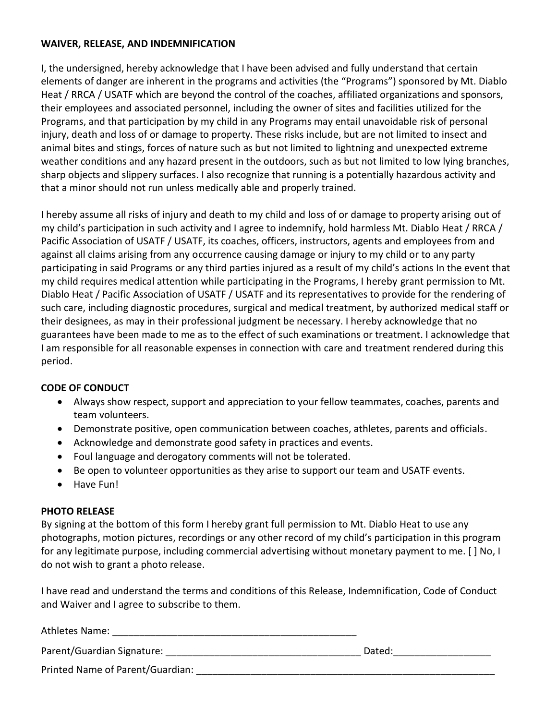## **WAIVER, RELEASE, AND INDEMNIFICATION**

I, the undersigned, hereby acknowledge that I have been advised and fully understand that certain elements of danger are inherent in the programs and activities (the "Programs") sponsored by Mt. Diablo Heat / RRCA / USATF which are beyond the control of the coaches, affiliated organizations and sponsors, their employees and associated personnel, including the owner of sites and facilities utilized for the Programs, and that participation by my child in any Programs may entail unavoidable risk of personal injury, death and loss of or damage to property. These risks include, but are not limited to insect and animal bites and stings, forces of nature such as but not limited to lightning and unexpected extreme weather conditions and any hazard present in the outdoors, such as but not limited to low lying branches, sharp objects and slippery surfaces. I also recognize that running is a potentially hazardous activity and that a minor should not run unless medically able and properly trained.

I hereby assume all risks of injury and death to my child and loss of or damage to property arising out of my child's participation in such activity and I agree to indemnify, hold harmless Mt. Diablo Heat / RRCA / Pacific Association of USATF / USATF, its coaches, officers, instructors, agents and employees from and against all claims arising from any occurrence causing damage or injury to my child or to any party participating in said Programs or any third parties injured as a result of my child's actions In the event that my child requires medical attention while participating in the Programs, I hereby grant permission to Mt. Diablo Heat / Pacific Association of USATF / USATF and its representatives to provide for the rendering of such care, including diagnostic procedures, surgical and medical treatment, by authorized medical staff or their designees, as may in their professional judgment be necessary. I hereby acknowledge that no guarantees have been made to me as to the effect of such examinations or treatment. I acknowledge that I am responsible for all reasonable expenses in connection with care and treatment rendered during this period.

## **CODE OF CONDUCT**

- Always show respect, support and appreciation to your fellow teammates, coaches, parents and team volunteers.
- Demonstrate positive, open communication between coaches, athletes, parents and officials.
- Acknowledge and demonstrate good safety in practices and events.
- Foul language and derogatory comments will not be tolerated.
- Be open to volunteer opportunities as they arise to support our team and USATF events.
- Have Fun!

## **PHOTO RELEASE**

By signing at the bottom of this form I hereby grant full permission to Mt. Diablo Heat to use any photographs, motion pictures, recordings or any other record of my child's participation in this program for any legitimate purpose, including commercial advertising without monetary payment to me. [ ] No, I do not wish to grant a photo release.

I have read and understand the terms and conditions of this Release, Indemnification, Code of Conduct and Waiver and I agree to subscribe to them.

| Athletes Name:                   |        |  |
|----------------------------------|--------|--|
| Parent/Guardian Signature:       | Dated: |  |
| Printed Name of Parent/Guardian: |        |  |